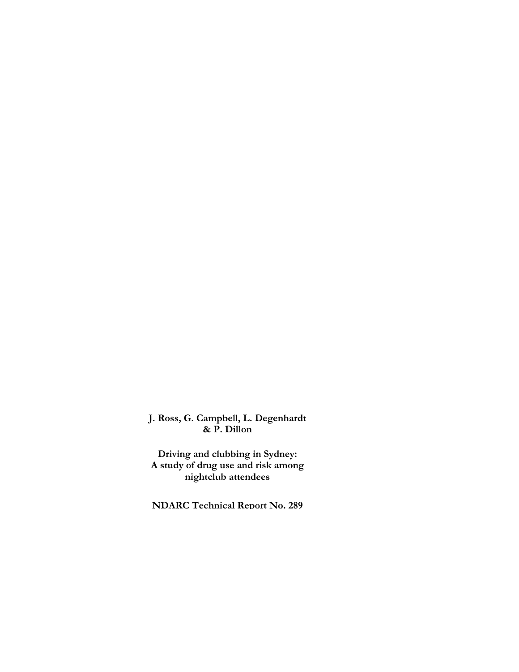**J. Ross, G. Campbell, L. Degenhardt & P. Dillon**

**Driving and clubbing in Sydney: A study of drug use and risk among nightclub attendees** 

**NDARC Technical Report No. 289**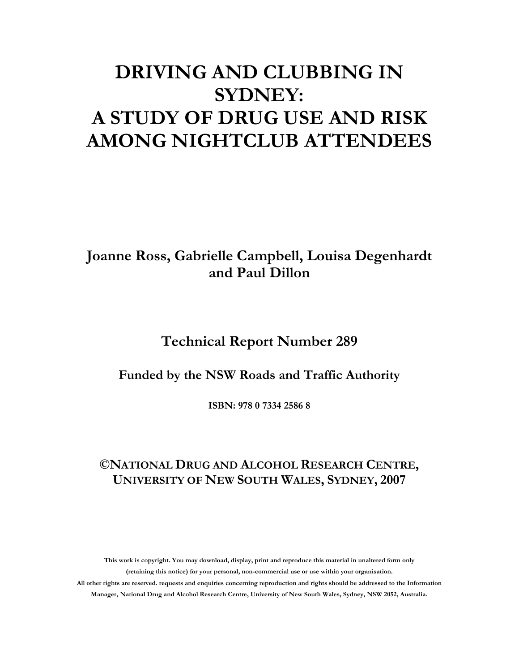# **DRIVING AND CLUBBING IN SYDNEY: A STUDY OF DRUG USE AND RISK AMONG NIGHTCLUB ATTENDEES**

# **Joanne Ross, Gabrielle Campbell, Louisa Degenhardt and Paul Dillon**

## **Technical Report Number 289**

### **Funded by the NSW Roads and Traffic Authority**

**ISBN: 978 0 7334 2586 8** 

### **©NATIONAL DRUG AND ALCOHOL RESEARCH CENTRE, UNIVERSITY OF NEW SOUTH WALES, SYDNEY, 2007**

**This work is copyright. You may download, display, print and reproduce this material in unaltered form only (retaining this notice) for your personal, non-commercial use or use within your organisation. All other rights are reserved. requests and enquiries concerning reproduction and rights should be addressed to the Information Manager, National Drug and Alcohol Research Centre, University of New South Wales, Sydney, NSW 2052, Australia.**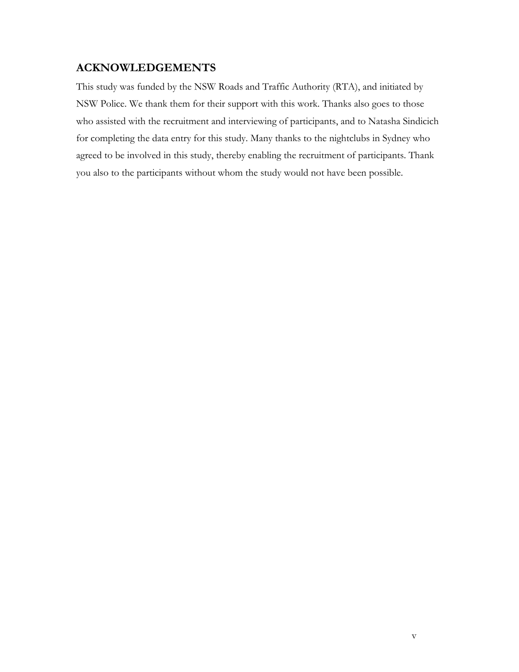### **ACKNOWLEDGEMENTS**

This study was funded by the NSW Roads and Traffic Authority (RTA), and initiated by NSW Police. We thank them for their support with this work. Thanks also goes to those who assisted with the recruitment and interviewing of participants, and to Natasha Sindicich for completing the data entry for this study. Many thanks to the nightclubs in Sydney who agreed to be involved in this study, thereby enabling the recruitment of participants. Thank you also to the participants without whom the study would not have been possible.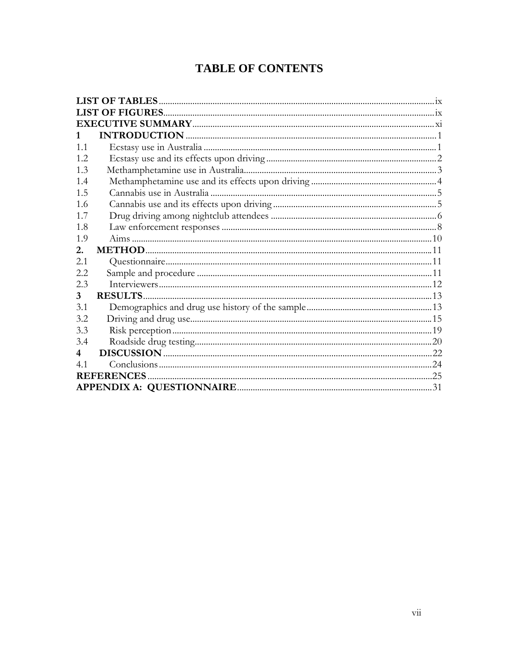### **TABLE OF CONTENTS**

| 1.1 |                    |  |
|-----|--------------------|--|
| 1.2 |                    |  |
| 1.3 |                    |  |
| 1.4 |                    |  |
| 1.5 |                    |  |
| 1.6 |                    |  |
| 1.7 |                    |  |
| 1.8 |                    |  |
| 1.9 |                    |  |
| 2.  |                    |  |
| 2.1 |                    |  |
| 2.2 |                    |  |
| 2.3 |                    |  |
| 3   | <b>RESULTS</b>     |  |
| 3.1 |                    |  |
| 3.2 |                    |  |
| 3.3 |                    |  |
| 3.4 |                    |  |
| 4   |                    |  |
| 41  |                    |  |
|     | <b>REFERENCES.</b> |  |
|     |                    |  |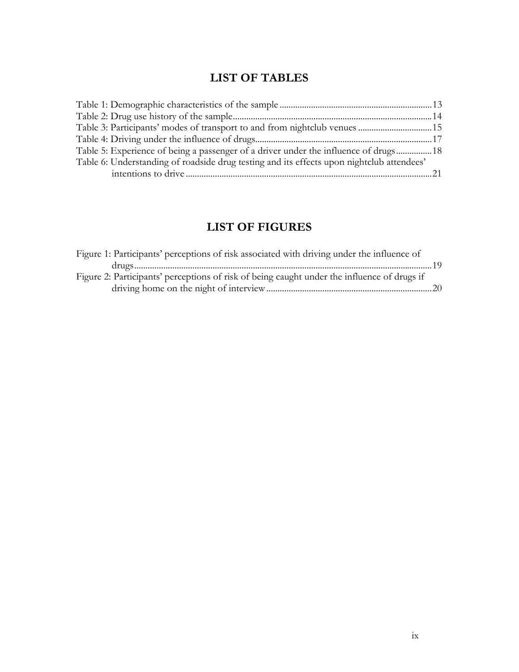# **LIST OF TABLES**

<span id="page-8-0"></span>

| Table 3: Participants' modes of transport to and from nightclub venues 15                 |  |
|-------------------------------------------------------------------------------------------|--|
|                                                                                           |  |
| Table 5: Experience of being a passenger of a driver under the influence of drugs18       |  |
| Table 6: Understanding of roadside drug testing and its effects upon nightclub attendees' |  |
|                                                                                           |  |

### **LIST OF FIGURES**

| Figure 1: Participants' perceptions of risk associated with driving under the influence of  |  |
|---------------------------------------------------------------------------------------------|--|
|                                                                                             |  |
| Figure 2: Participants' perceptions of risk of being caught under the influence of drugs if |  |
|                                                                                             |  |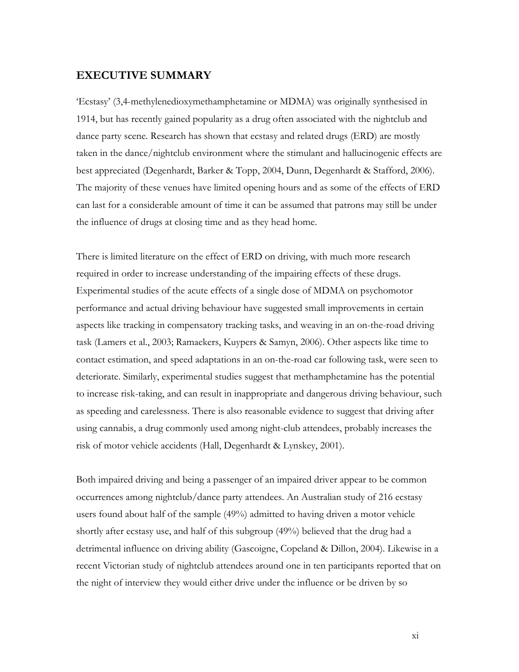#### <span id="page-10-0"></span>**EXECUTIVE SUMMARY**

'Ecstasy' (3,4-methylenedioxymethamphetamine or MDMA) was originally synthesised in 1914, but has recently gained popularity as a drug often associated with the nightclub and dance party scene. Research has shown that ecstasy and related drugs (ERD) are mostly taken in the dance/nightclub environment where the stimulant and hallucinogenic effects are best appreciated (Degenhardt, Barker & Topp, 2004, Dunn, Degenhardt & Stafford, 2006). The majority of these venues have limited opening hours and as some of the effects of ERD can last for a considerable amount of time it can be assumed that patrons may still be under the influence of drugs at closing time and as they head home.

There is limited literature on the effect of ERD on driving, with much more research required in order to increase understanding of the impairing effects of these drugs. Experimental studies of the acute effects of a single dose of MDMA on psychomotor performance and actual driving behaviour have suggested small improvements in certain aspects like tracking in compensatory tracking tasks, and weaving in an on-the-road driving task (Lamers et al., 2003; Ramaekers, Kuypers & Samyn, 2006). Other aspects like time to contact estimation, and speed adaptations in an on-the-road car following task, were seen to deteriorate. Similarly, experimental studies suggest that methamphetamine has the potential to increase risk-taking, and can result in inappropriate and dangerous driving behaviour, such as speeding and carelessness. There is also reasonable evidence to suggest that driving after using cannabis, a drug commonly used among night-club attendees, probably increases the risk of motor vehicle accidents (Hall, Degenhardt & Lynskey, 2001).

Both impaired driving and being a passenger of an impaired driver appear to be common occurrences among nightclub/dance party attendees. An Australian study of 216 ecstasy users found about half of the sample (49%) admitted to having driven a motor vehicle shortly after ecstasy use, and half of this subgroup (49%) believed that the drug had a detrimental influence on driving ability (Gascoigne, Copeland & Dillon, 2004). Likewise in a recent Victorian study of nightclub attendees around one in ten participants reported that on the night of interview they would either drive under the influence or be driven by so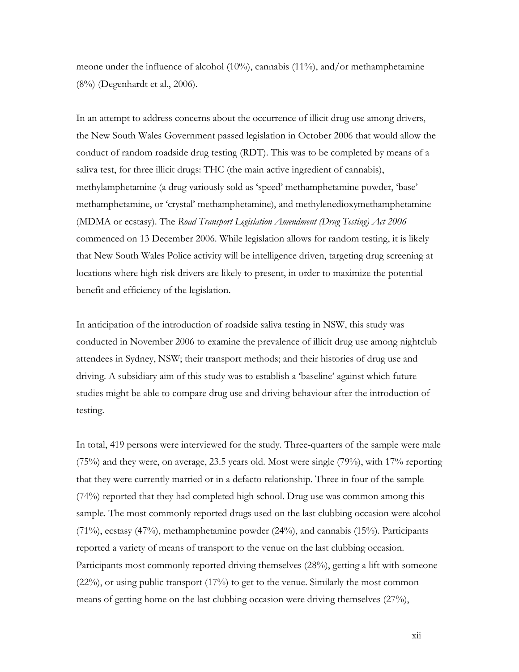meone under the influence of alcohol (10%), cannabis (11%), and/or methamphetamine (8%) (Degenhardt et al., 2006).

In an attempt to address concerns about the occurrence of illicit drug use among drivers, the New South Wales Government passed legislation in October 2006 that would allow the conduct of random roadside drug testing (RDT). This was to be completed by means of a saliva test, for three illicit drugs: THC (the main active ingredient of cannabis), methylamphetamine (a drug variously sold as 'speed' methamphetamine powder, 'base' methamphetamine, or 'crystal' methamphetamine), and methylenedioxymethamphetamine (MDMA or ecstasy). The *Road Transport Legislation Amendment (Drug Testing) Act 2006*  commenced on 13 December 2006. While legislation allows for random testing, it is likely that New South Wales Police activity will be intelligence driven, targeting drug screening at locations where high-risk drivers are likely to present, in order to maximize the potential benefit and efficiency of the legislation.

In anticipation of the introduction of roadside saliva testing in NSW, this study was conducted in November 2006 to examine the prevalence of illicit drug use among nightclub attendees in Sydney, NSW; their transport methods; and their histories of drug use and driving. A subsidiary aim of this study was to establish a 'baseline' against which future studies might be able to compare drug use and driving behaviour after the introduction of testing.

In total, 419 persons were interviewed for the study. Three-quarters of the sample were male (75%) and they were, on average, 23.5 years old. Most were single (79%), with 17% reporting that they were currently married or in a defacto relationship. Three in four of the sample (74%) reported that they had completed high school. Drug use was common among this sample. The most commonly reported drugs used on the last clubbing occasion were alcohol (71%), ecstasy (47%), methamphetamine powder (24%), and cannabis (15%). Participants reported a variety of means of transport to the venue on the last clubbing occasion. Participants most commonly reported driving themselves (28%), getting a lift with someone (22%), or using public transport (17%) to get to the venue. Similarly the most common means of getting home on the last clubbing occasion were driving themselves (27%),

xii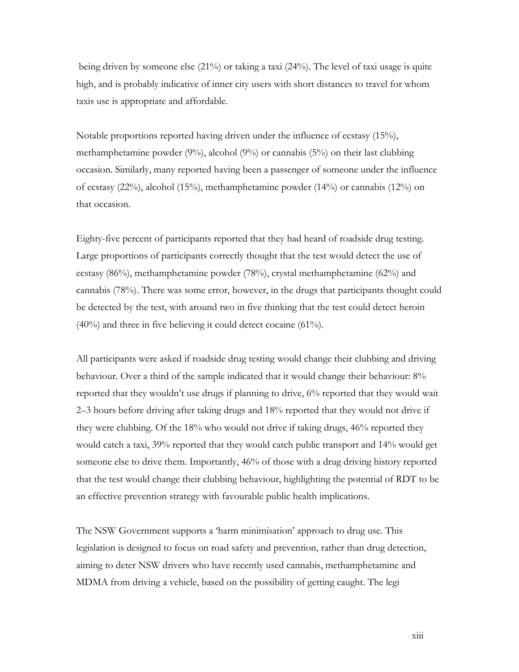being driven by someone else (21%) or taking a taxi (24%). The level of taxi usage is quite high, and is probably indicative of inner city users with short distances to travel for whom taxis use is appropriate and affordable.

Notable proportions reported having driven under the influence of ecstasy (15%), methamphetamine powder (9%), alcohol (9%) or cannabis (5%) on their last clubbing occasion. Similarly, many reported having been a passenger of someone under the influence of ecstasy (22%), alcohol (15%), methamphetamine powder (14%) or cannabis (12%) on that occasion.

Eighty-five percent of participants reported that they had heard of roadside drug testing. Large proportions of participants correctly thought that the test would detect the use of ecstasy (86%), methamphetamine powder (78%), crystal methamphetamine (62%) and cannabis (78%). There was some error, however, in the drugs that participants thought could be detected by the test, with around two in five thinking that the test could detect heroin (40%) and three in five believing it could detect cocaine (61%).

All participants were asked if roadside drug testing would change their clubbing and driving behaviour. Over a third of the sample indicated that it would change their behaviour: 8% reported that they wouldn't use drugs if planning to drive, 6% reported that they would wait 2–3 hours before driving after taking drugs and 18% reported that they would not drive if they were clubbing. Of the 18% who would not drive if taking drugs, 46% reported they would catch a taxi, 39% reported that they would catch public transport and 14% would get someone else to drive them. Importantly, 46% of those with a drug driving history reported that the test would change their clubbing behaviour, highlighting the potential of RDT to be an effective prevention strategy with favourable public health implications.

The NSW Government supports a 'harm minimisation' approach to drug use. This legislation is designed to focus on road safety and prevention, rather than drug detection, aiming to deter NSW drivers who have recently used cannabis, methamphetamine and MDMA from driving a vehicle, based on the possibility of getting caught. The legi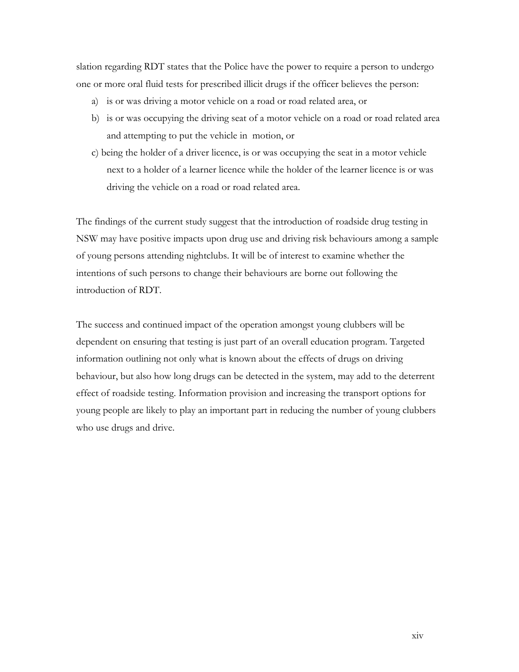slation regarding RDT states that the Police have the power to require a person to undergo one or more oral fluid tests for prescribed illicit drugs if the officer believes the person:

- a) is or was driving a motor vehicle on a road or road related area, or
- b) is or was occupying the driving seat of a motor vehicle on a road or road related area and attempting to put the vehicle in motion, or
- c) being the holder of a driver licence, is or was occupying the seat in a motor vehicle next to a holder of a learner licence while the holder of the learner licence is or was driving the vehicle on a road or road related area.

The findings of the current study suggest that the introduction of roadside drug testing in NSW may have positive impacts upon drug use and driving risk behaviours among a sample of young persons attending nightclubs. It will be of interest to examine whether the intentions of such persons to change their behaviours are borne out following the introduction of RDT.

The success and continued impact of the operation amongst young clubbers will be dependent on ensuring that testing is just part of an overall education program. Targeted information outlining not only what is known about the effects of drugs on driving behaviour, but also how long drugs can be detected in the system, may add to the deterrent effect of roadside testing. Information provision and increasing the transport options for young people are likely to play an important part in reducing the number of young clubbers who use drugs and drive.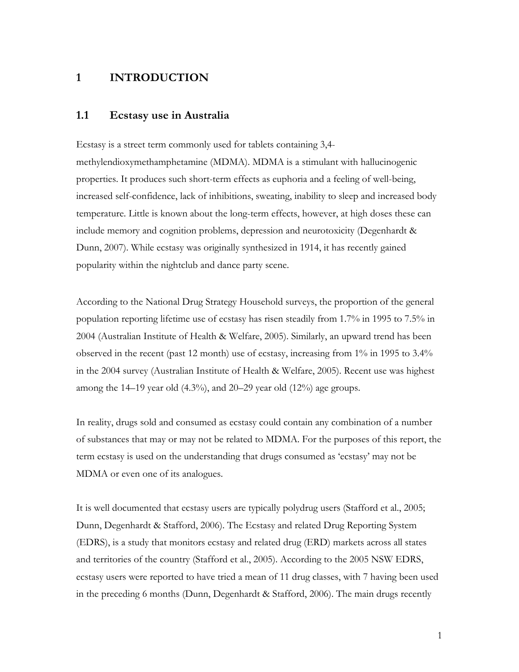#### <span id="page-14-0"></span>**1 INTRODUCTION**

#### **1.1 Ecstasy use in Australia**

Ecstasy is a street term commonly used for tablets containing 3,4 methylendioxymethamphetamine (MDMA). MDMA is a stimulant with hallucinogenic properties. It produces such short-term effects as euphoria and a feeling of well-being, increased self-confidence, lack of inhibitions, sweating, inability to sleep and increased body temperature. Little is known about the long-term effects, however, at high doses these can include memory and cognition problems, depression and neurotoxicity (Degenhardt & Dunn, 2007). While ecstasy was originally synthesized in 1914, it has recently gained popularity within the nightclub and dance party scene.

According to the National Drug Strategy Household surveys, the proportion of the general population reporting lifetime use of ecstasy has risen steadily from 1.7% in 1995 to 7.5% in 2004 (Australian Institute of Health & Welfare, 2005). Similarly, an upward trend has been observed in the recent (past 12 month) use of ecstasy, increasing from 1% in 1995 to 3.4% in the 2004 survey (Australian Institute of Health & Welfare, 2005). Recent use was highest among the  $14-19$  year old  $(4.3\%)$ , and  $20-29$  year old  $(12\%)$  age groups.

In reality, drugs sold and consumed as ecstasy could contain any combination of a number of substances that may or may not be related to MDMA. For the purposes of this report, the term ecstasy is used on the understanding that drugs consumed as 'ecstasy' may not be MDMA or even one of its analogues.

It is well documented that ecstasy users are typically polydrug users (Stafford et al., 2005; Dunn, Degenhardt & Stafford, 2006). The Ecstasy and related Drug Reporting System (EDRS), is a study that monitors ecstasy and related drug (ERD) markets across all states and territories of the country (Stafford et al., 2005). According to the 2005 NSW EDRS, ecstasy users were reported to have tried a mean of 11 drug classes, with 7 having been used in the preceding 6 months (Dunn, Degenhardt & Stafford, 2006). The main drugs recently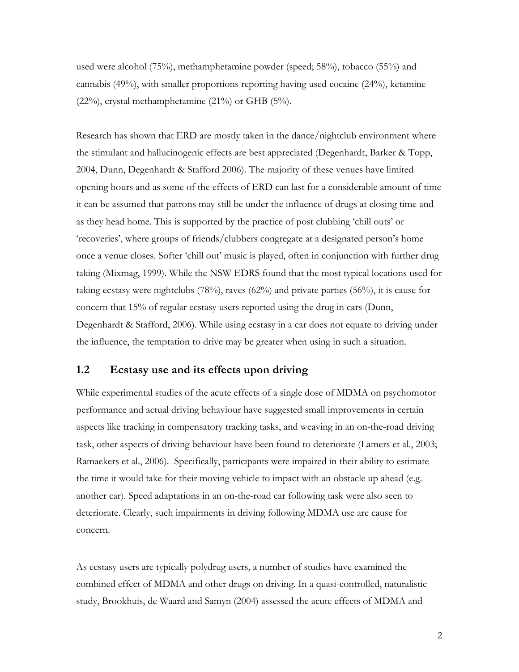<span id="page-15-0"></span>used were alcohol (75%), methamphetamine powder (speed; 58%), tobacco (55%) and cannabis (49%), with smaller proportions reporting having used cocaine (24%), ketamine (22%), crystal methamphetamine (21%) or GHB (5%).

Research has shown that ERD are mostly taken in the dance/nightclub environment where the stimulant and hallucinogenic effects are best appreciated (Degenhardt, Barker & Topp, 2004, Dunn, Degenhardt & Stafford 2006). The majority of these venues have limited opening hours and as some of the effects of ERD can last for a considerable amount of time it can be assumed that patrons may still be under the influence of drugs at closing time and as they head home. This is supported by the practice of post clubbing 'chill outs' or 'recoveries', where groups of friends/clubbers congregate at a designated person's home once a venue closes. Softer 'chill out' music is played, often in conjunction with further drug taking (Mixmag, 1999). While the NSW EDRS found that the most typical locations used for taking ecstasy were nightclubs (78%), raves (62%) and private parties (56%), it is cause for concern that 15% of regular ecstasy users reported using the drug in cars (Dunn, Degenhardt & Stafford, 2006). While using ecstasy in a car does not equate to driving under the influence, the temptation to drive may be greater when using in such a situation.

#### **1.2 Ecstasy use and its effects upon driving**

While experimental studies of the acute effects of a single dose of MDMA on psychomotor performance and actual driving behaviour have suggested small improvements in certain aspects like tracking in compensatory tracking tasks, and weaving in an on-the-road driving task, other aspects of driving behaviour have been found to deteriorate (Lamers et al., 2003; Ramaekers et al., 2006). Specifically, participants were impaired in their ability to estimate the time it would take for their moving vehicle to impact with an obstacle up ahead (e.g. another car). Speed adaptations in an on-the-road car following task were also seen to deteriorate. Clearly, such impairments in driving following MDMA use are cause for concern.

As ecstasy users are typically polydrug users, a number of studies have examined the combined effect of MDMA and other drugs on driving. In a quasi-controlled, naturalistic study, Brookhuis, de Waard and Samyn (2004) assessed the acute effects of MDMA and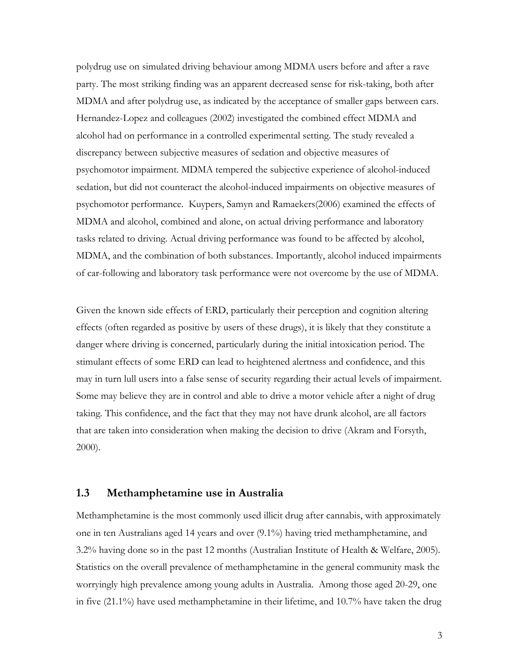<span id="page-16-0"></span>polydrug use on simulated driving behaviour among MDMA users before and after a rave party. The most striking finding was an apparent decreased sense for risk-taking, both after MDMA and after polydrug use, as indicated by the acceptance of smaller gaps between cars. Hernandez-Lopez and colleagues (2002) investigated the combined effect MDMA and alcohol had on performance in a controlled experimental setting. The study revealed a discrepancy between subjective measures of sedation and objective measures of psychomotor impairment. MDMA tempered the subjective experience of alcohol-induced sedation, but did not counteract the alcohol-induced impairments on objective measures of psychomotor performance. Kuypers, Samyn and Ramaekers(2006) examined the effects of MDMA and alcohol, combined and alone, on actual driving performance and laboratory tasks related to driving. Actual driving performance was found to be affected by alcohol, MDMA, and the combination of both substances. Importantly, alcohol induced impairments of car-following and laboratory task performance were not overcome by the use of MDMA.

Given the known side effects of ERD, particularly their perception and cognition altering effects (often regarded as positive by users of these drugs), it is likely that they constitute a danger where driving is concerned, particularly during the initial intoxication period. The stimulant effects of some ERD can lead to heightened alertness and confidence, and this may in turn lull users into a false sense of security regarding their actual levels of impairment. Some may believe they are in control and able to drive a motor vehicle after a night of drug taking. This confidence, and the fact that they may not have drunk alcohol, are all factors that are taken into consideration when making the decision to drive (Akram and Forsyth, 2000).

#### **1.3 Methamphetamine use in Australia**

Methamphetamine is the most commonly used illicit drug after cannabis, with approximately one in ten Australians aged 14 years and over (9.1%) having tried methamphetamine, and 3.2% having done so in the past 12 months (Australian Institute of Health & Welfare, 2005). Statistics on the overall prevalence of methamphetamine in the general community mask the worryingly high prevalence among young adults in Australia. Among those aged 20-29, one in five (21.1%) have used methamphetamine in their lifetime, and 10.7% have taken the drug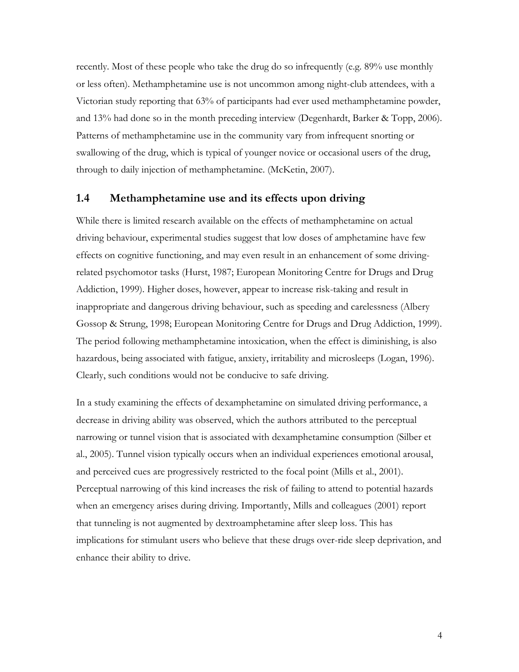<span id="page-17-0"></span>recently. Most of these people who take the drug do so infrequently (e.g. 89% use monthly or less often). Methamphetamine use is not uncommon among night-club attendees, with a Victorian study reporting that 63% of participants had ever used methamphetamine powder, and 13% had done so in the month preceding interview (Degenhardt, Barker & Topp, 2006). Patterns of methamphetamine use in the community vary from infrequent snorting or swallowing of the drug, which is typical of younger novice or occasional users of the drug, through to daily injection of methamphetamine. (McKetin, 2007).

#### **1.4 Methamphetamine use and its effects upon driving**

While there is limited research available on the effects of methamphetamine on actual driving behaviour, experimental studies suggest that low doses of amphetamine have few effects on cognitive functioning, and may even result in an enhancement of some drivingrelated psychomotor tasks (Hurst, 1987; European Monitoring Centre for Drugs and Drug Addiction, 1999). Higher doses, however, appear to increase risk-taking and result in inappropriate and dangerous driving behaviour, such as speeding and carelessness (Albery Gossop & Strung, 1998; European Monitoring Centre for Drugs and Drug Addiction, 1999). The period following methamphetamine intoxication, when the effect is diminishing, is also hazardous, being associated with fatigue, anxiety, irritability and microsleeps (Logan, 1996). Clearly, such conditions would not be conducive to safe driving.

In a study examining the effects of dexamphetamine on simulated driving performance, a decrease in driving ability was observed, which the authors attributed to the perceptual narrowing or tunnel vision that is associated with dexamphetamine consumption (Silber et al., 2005). Tunnel vision typically occurs when an individual experiences emotional arousal, and perceived cues are progressively restricted to the focal point (Mills et al., 2001). Perceptual narrowing of this kind increases the risk of failing to attend to potential hazards when an emergency arises during driving. Importantly, Mills and colleagues (2001) report that tunneling is not augmented by dextroamphetamine after sleep loss. This has implications for stimulant users who believe that these drugs over-ride sleep deprivation, and enhance their ability to drive.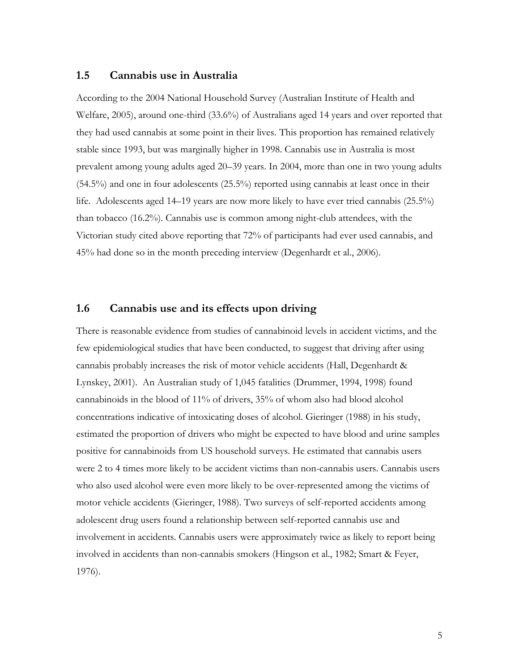#### <span id="page-18-0"></span>**1.5 Cannabis use in Australia**

According to the 2004 National Household Survey (Australian Institute of Health and Welfare, 2005), around one-third (33.6%) of Australians aged 14 years and over reported that they had used cannabis at some point in their lives. This proportion has remained relatively stable since 1993, but was marginally higher in 1998. Cannabis use in Australia is most prevalent among young adults aged 20–39 years. In 2004, more than one in two young adults  $(54.5%)$  and one in four adolescents  $(25.5%)$  reported using cannabis at least once in their life. Adolescents aged 14–19 years are now more likely to have ever tried cannabis (25.5%) than tobacco (16.2%). Cannabis use is common among night-club attendees, with the Victorian study cited above reporting that 72% of participants had ever used cannabis, and 45% had done so in the month preceding interview (Degenhardt et al., 2006).

#### **1.6 Cannabis use and its effects upon driving**

There is reasonable evidence from studies of cannabinoid levels in accident victims, and the few epidemiological studies that have been conducted, to suggest that driving after using cannabis probably increases the risk of motor vehicle accidents (Hall, Degenhardt & Lynskey, 2001). An Australian study of 1,045 fatalities (Drummer, 1994, 1998) found cannabinoids in the blood of 11% of drivers, 35% of whom also had blood alcohol concentrations indicative of intoxicating doses of alcohol. Gieringer (1988) in his study, estimated the proportion of drivers who might be expected to have blood and urine samples positive for cannabinoids from US household surveys. He estimated that cannabis users were 2 to 4 times more likely to be accident victims than non-cannabis users. Cannabis users who also used alcohol were even more likely to be over-represented among the victims of motor vehicle accidents (Gieringer, 1988). Two surveys of self-reported accidents among adolescent drug users found a relationship between self-reported cannabis use and involvement in accidents. Cannabis users were approximately twice as likely to report being involved in accidents than non-cannabis smokers (Hingson et al., 1982; Smart & Feyer, 1976).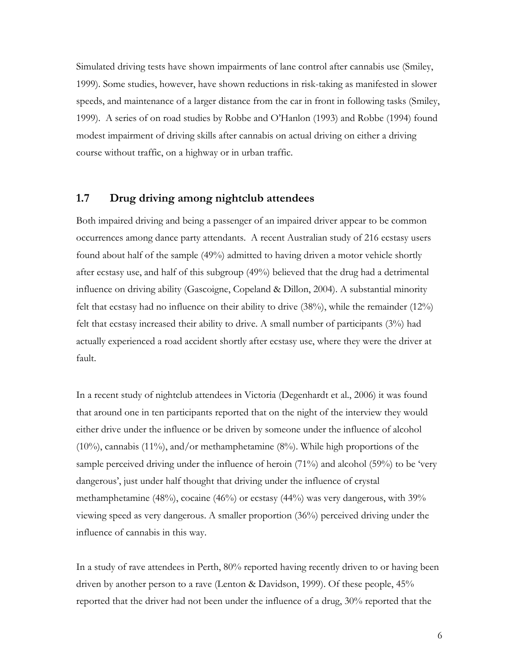<span id="page-19-0"></span>Simulated driving tests have shown impairments of lane control after cannabis use (Smiley, 1999). Some studies, however, have shown reductions in risk-taking as manifested in slower speeds, and maintenance of a larger distance from the car in front in following tasks (Smiley, 1999). A series of on road studies by Robbe and O'Hanlon (1993) and Robbe (1994) found modest impairment of driving skills after cannabis on actual driving on either a driving course without traffic, on a highway or in urban traffic.

#### **1.7 Drug driving among nightclub attendees**

Both impaired driving and being a passenger of an impaired driver appear to be common occurrences among dance party attendants. A recent Australian study of 216 ecstasy users found about half of the sample (49%) admitted to having driven a motor vehicle shortly after ecstasy use, and half of this subgroup (49%) believed that the drug had a detrimental influence on driving ability (Gascoigne, Copeland & Dillon, 2004). A substantial minority felt that ecstasy had no influence on their ability to drive (38%), while the remainder (12%) felt that ecstasy increased their ability to drive. A small number of participants (3%) had actually experienced a road accident shortly after ecstasy use, where they were the driver at fault.

In a recent study of nightclub attendees in Victoria (Degenhardt et al., 2006) it was found that around one in ten participants reported that on the night of the interview they would either drive under the influence or be driven by someone under the influence of alcohol (10%), cannabis (11%), and/or methamphetamine (8%). While high proportions of the sample perceived driving under the influence of heroin (71%) and alcohol (59%) to be 'very dangerous', just under half thought that driving under the influence of crystal methamphetamine (48%), cocaine (46%) or ecstasy (44%) was very dangerous, with 39% viewing speed as very dangerous. A smaller proportion (36%) perceived driving under the influence of cannabis in this way.

In a study of rave attendees in Perth, 80% reported having recently driven to or having been driven by another person to a rave (Lenton & Davidson, 1999). Of these people, 45% reported that the driver had not been under the influence of a drug, 30% reported that the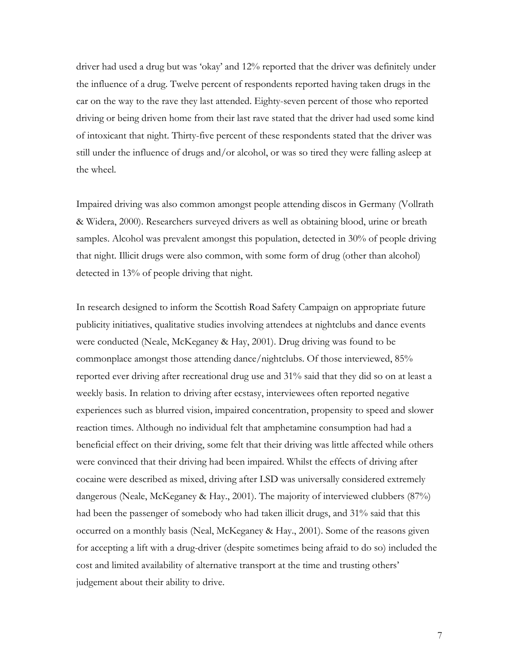driver had used a drug but was 'okay' and 12% reported that the driver was definitely under the influence of a drug. Twelve percent of respondents reported having taken drugs in the car on the way to the rave they last attended. Eighty-seven percent of those who reported driving or being driven home from their last rave stated that the driver had used some kind of intoxicant that night. Thirty-five percent of these respondents stated that the driver was still under the influence of drugs and/or alcohol, or was so tired they were falling asleep at the wheel.

Impaired driving was also common amongst people attending discos in Germany (Vollrath & Widera, 2000). Researchers surveyed drivers as well as obtaining blood, urine or breath samples. Alcohol was prevalent amongst this population, detected in 30% of people driving that night. Illicit drugs were also common, with some form of drug (other than alcohol) detected in 13% of people driving that night.

In research designed to inform the Scottish Road Safety Campaign on appropriate future publicity initiatives, qualitative studies involving attendees at nightclubs and dance events were conducted (Neale, McKeganey & Hay, 2001). Drug driving was found to be commonplace amongst those attending dance/nightclubs. Of those interviewed, 85% reported ever driving after recreational drug use and 31% said that they did so on at least a weekly basis. In relation to driving after ecstasy, interviewees often reported negative experiences such as blurred vision, impaired concentration, propensity to speed and slower reaction times. Although no individual felt that amphetamine consumption had had a beneficial effect on their driving, some felt that their driving was little affected while others were convinced that their driving had been impaired. Whilst the effects of driving after cocaine were described as mixed, driving after LSD was universally considered extremely dangerous (Neale, McKeganey & Hay., 2001). The majority of interviewed clubbers (87%) had been the passenger of somebody who had taken illicit drugs, and 31% said that this occurred on a monthly basis (Neal, McKeganey & Hay., 2001). Some of the reasons given for accepting a lift with a drug-driver (despite sometimes being afraid to do so) included the cost and limited availability of alternative transport at the time and trusting others' judgement about their ability to drive.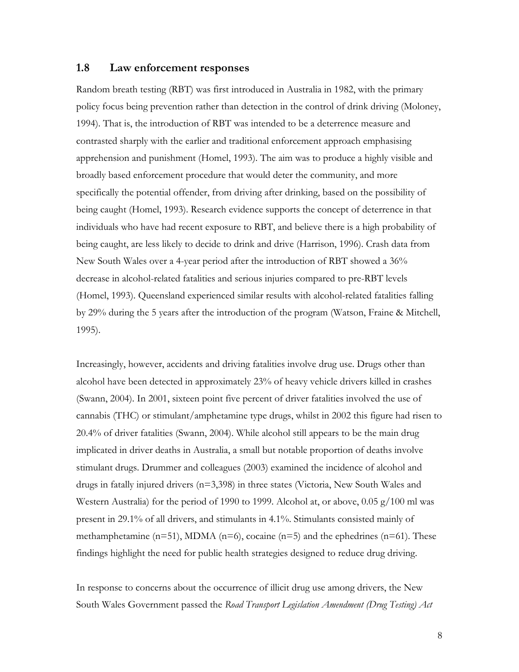#### <span id="page-21-0"></span>**1.8 Law enforcement responses**

Random breath testing (RBT) was first introduced in Australia in 1982, with the primary policy focus being prevention rather than detection in the control of drink driving (Moloney, 1994). That is, the introduction of RBT was intended to be a deterrence measure and contrasted sharply with the earlier and traditional enforcement approach emphasising apprehension and punishment (Homel, 1993). The aim was to produce a highly visible and broadly based enforcement procedure that would deter the community, and more specifically the potential offender, from driving after drinking, based on the possibility of being caught (Homel, 1993). Research evidence supports the concept of deterrence in that individuals who have had recent exposure to RBT, and believe there is a high probability of being caught, are less likely to decide to drink and drive (Harrison, 1996). Crash data from New South Wales over a 4-year period after the introduction of RBT showed a 36% decrease in alcohol-related fatalities and serious injuries compared to pre-RBT levels (Homel, 1993). Queensland experienced similar results with alcohol-related fatalities falling by 29% during the 5 years after the introduction of the program (Watson, Fraine & Mitchell, 1995).

Increasingly, however, accidents and driving fatalities involve drug use. Drugs other than alcohol have been detected in approximately 23% of heavy vehicle drivers killed in crashes (Swann, 2004). In 2001, sixteen point five percent of driver fatalities involved the use of cannabis (THC) or stimulant/amphetamine type drugs, whilst in 2002 this figure had risen to 20.4% of driver fatalities (Swann, 2004). While alcohol still appears to be the main drug implicated in driver deaths in Australia, a small but notable proportion of deaths involve stimulant drugs. Drummer and colleagues (2003) examined the incidence of alcohol and drugs in fatally injured drivers  $(n=3,398)$  in three states (Victoria, New South Wales and Western Australia) for the period of 1990 to 1999. Alcohol at, or above, 0.05 g/100 ml was present in 29.1% of all drivers, and stimulants in 4.1%. Stimulants consisted mainly of methamphetamine ( $n=51$ ), MDMA ( $n=6$ ), cocaine ( $n=5$ ) and the ephedrines ( $n=61$ ). These findings highlight the need for public health strategies designed to reduce drug driving.

In response to concerns about the occurrence of illicit drug use among drivers, the New South Wales Government passed the *Road Transport Legislation Amendment (Drug Testing) Act*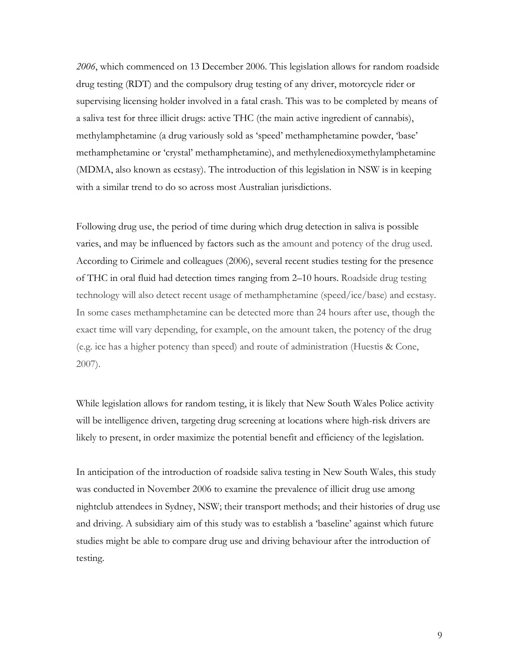*2006*, which commenced on 13 December 2006. This legislation allows for random roadside drug testing (RDT) and the compulsory drug testing of any driver, motorcycle rider or supervising licensing holder involved in a fatal crash. This was to be completed by means of a saliva test for three illicit drugs: active THC (the main active ingredient of cannabis), methylamphetamine (a drug variously sold as 'speed' methamphetamine powder, 'base' methamphetamine or 'crystal' methamphetamine), and methylenedioxymethylamphetamine (MDMA, also known as ecstasy). The introduction of this legislation in NSW is in keeping with a similar trend to do so across most Australian jurisdictions.

Following drug use, the period of time during which drug detection in saliva is possible varies, and may be influenced by factors such as the amount and potency of the drug used. According to Cirimele and colleagues (2006), several recent studies testing for the presence of THC in oral fluid had detection times ranging from 2–10 hours. Roadside drug testing technology will also detect recent usage of methamphetamine (speed/ice/base) and ecstasy. In some cases methamphetamine can be detected more than 24 hours after use, though the exact time will vary depending, for example, on the amount taken, the potency of the drug (e.g. ice has a higher potency than speed) and route of administration (Huestis & Cone, 2007).

While legislation allows for random testing, it is likely that New South Wales Police activity will be intelligence driven, targeting drug screening at locations where high-risk drivers are likely to present, in order maximize the potential benefit and efficiency of the legislation.

In anticipation of the introduction of roadside saliva testing in New South Wales, this study was conducted in November 2006 to examine the prevalence of illicit drug use among nightclub attendees in Sydney, NSW; their transport methods; and their histories of drug use and driving. A subsidiary aim of this study was to establish a 'baseline' against which future studies might be able to compare drug use and driving behaviour after the introduction of testing.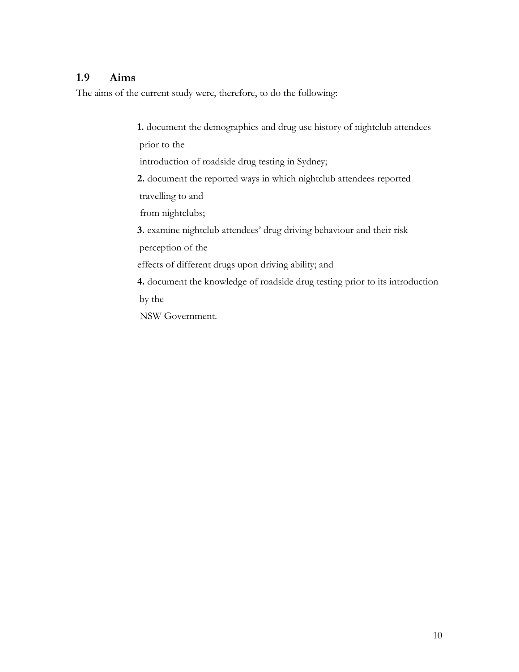### <span id="page-23-0"></span>**1.9 Aims**

The aims of the current study were, therefore, to do the following:

2. document the reported ways in which nightclub attendees reported perception of the effects of different drugs upon driving ability; and **4.** document the knowledge of roadside drug testing prior to its introduction by the NSW Government. **1.** document the demographics and drug use history of nightclub attendees prior to the introduction of roadside drug testing in Sydney; travelling to and from nightclubs; **3.** examine nightclub attendees' drug driving behaviour and their risk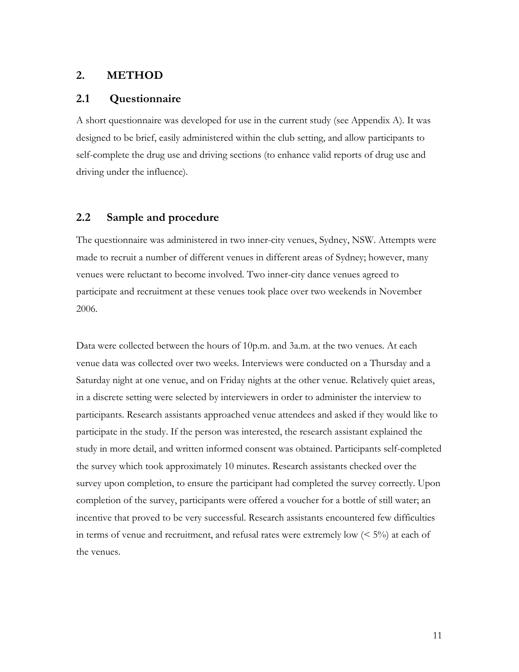#### <span id="page-24-0"></span>**2. METHOD**

#### **2.1 Questionnaire**

A short questionnaire was developed for use in the current study (see Appendix A). It was designed to be brief, easily administered within the club setting, and allow participants to self-complete the drug use and driving sections (to enhance valid reports of drug use and driving under the influence).

#### **2.2 Sample and procedure**

The questionnaire was administered in two inner-city venues, Sydney, NSW. Attempts were made to recruit a number of different venues in different areas of Sydney; however, many venues were reluctant to become involved. Two inner-city dance venues agreed to participate and recruitment at these venues took place over two weekends in November 2006.

Data were collected between the hours of 10p.m. and 3a.m. at the two venues. At each venue data was collected over two weeks. Interviews were conducted on a Thursday and a Saturday night at one venue, and on Friday nights at the other venue. Relatively quiet areas, in a discrete setting were selected by interviewers in order to administer the interview to participants. Research assistants approached venue attendees and asked if they would like to participate in the study. If the person was interested, the research assistant explained the study in more detail, and written informed consent was obtained. Participants self-completed the survey which took approximately 10 minutes. Research assistants checked over the survey upon completion, to ensure the participant had completed the survey correctly. Upon completion of the survey, participants were offered a voucher for a bottle of still water; an incentive that proved to be very successful. Research assistants encountered few difficulties in terms of venue and recruitment, and refusal rates were extremely low  $(5\%)$  at each of the venues.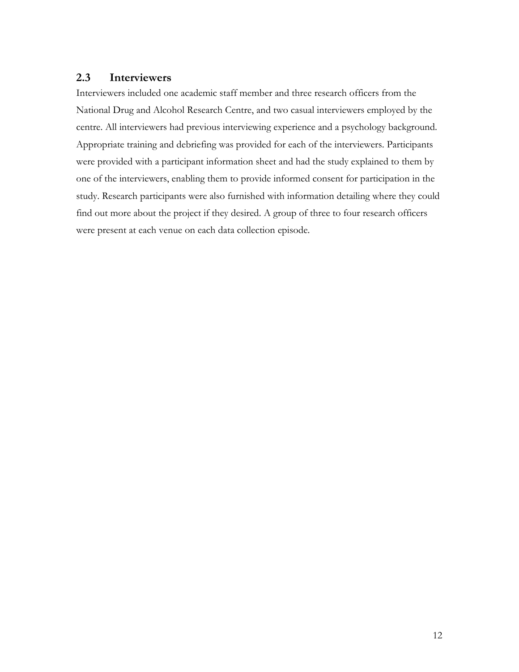#### <span id="page-25-0"></span>**2.3 Interviewers**

Interviewers included one academic staff member and three research officers from the National Drug and Alcohol Research Centre, and two casual interviewers employed by the centre. All interviewers had previous interviewing experience and a psychology background. Appropriate training and debriefing was provided for each of the interviewers. Participants were provided with a participant information sheet and had the study explained to them by one of the interviewers, enabling them to provide informed consent for participation in the study. Research participants were also furnished with information detailing where they could find out more about the project if they desired. A group of three to four research officers were present at each venue on each data collection episode.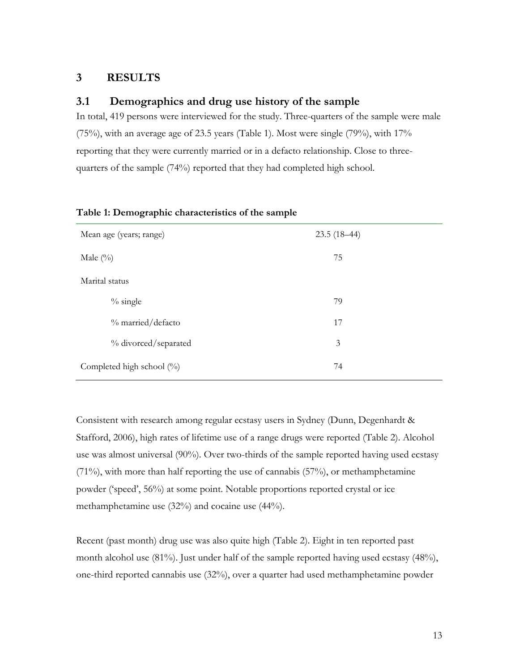#### <span id="page-26-0"></span>**3 RESULTS**

#### **3.1 Demographics and drug use history of the sample**

In total, 419 persons were interviewed for the study. Three-quarters of the sample were male (75%), with an average age of 23.5 years (Table 1). Most were single (79%), with 17% reporting that they were currently married or in a defacto relationship. Close to threequarters of the sample (74%) reported that they had completed high school.

| Mean age (years; range)      | $23.5(18-44)$ |
|------------------------------|---------------|
| Male $(\%)$                  | 75            |
| Marital status               |               |
| $\%$ single                  | 79            |
| % married/defacto            | 17            |
| % divorced/separated         | 3             |
| Completed high school $(\%)$ | 74            |

#### **Table 1: Demographic characteristics of the sample**

Consistent with research among regular ecstasy users in Sydney (Dunn, Degenhardt & Stafford, 2006), high rates of lifetime use of a range drugs were reported (Table 2). Alcohol use was almost universal (90%). Over two-thirds of the sample reported having used ecstasy (71%), with more than half reporting the use of cannabis (57%), or methamphetamine powder ('speed', 56%) at some point. Notable proportions reported crystal or ice methamphetamine use (32%) and cocaine use (44%).

Recent (past month) drug use was also quite high (Table 2). Eight in ten reported past month alcohol use (81%). Just under half of the sample reported having used ecstasy (48%), one-third reported cannabis use (32%), over a quarter had used methamphetamine powder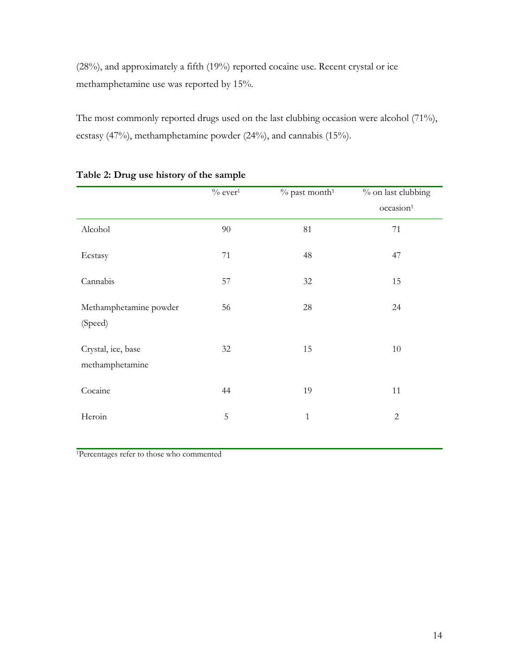<span id="page-27-0"></span>(28%), and approximately a fifth (19%) reported cocaine use. Recent crystal or ice methamphetamine use was reported by 15%.

The most commonly reported drugs used on the last clubbing occasion were alcohol (71%), ecstasy (47%), methamphetamine powder (24%), and cannabis (15%).

|                                       | $\%$ ever $^1$ | $%$ past month <sup>1</sup> | % on last clubbing    |
|---------------------------------------|----------------|-----------------------------|-----------------------|
|                                       |                |                             | occasion <sup>1</sup> |
| Alcohol                               | $90\,$         | 81                          | 71                    |
| Ecstasy                               | 71             | 48                          | 47                    |
| Cannabis                              | 57             | 32                          | 15                    |
| Methamphetamine powder<br>(Speed)     | 56             | 28                          | 24                    |
| Crystal, ice, base<br>methamphetamine | 32             | 15                          | 10                    |
| Cocaine                               | 44             | 19                          | 11                    |
| Heroin                                | $\mathbf 5$    | $\mathbf{1}$                | $\overline{2}$        |
|                                       |                |                             |                       |

#### **Table 2: Drug use history of the sample**

1Percentages refer to those who commented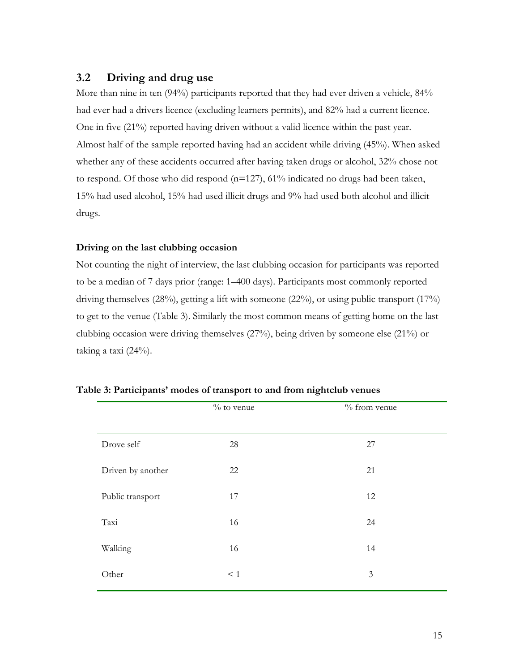#### <span id="page-28-0"></span>**3.2 Driving and drug use**

More than nine in ten (94%) participants reported that they had ever driven a vehicle, 84% had ever had a drivers licence (excluding learners permits), and 82% had a current licence. One in five (21%) reported having driven without a valid licence within the past year. Almost half of the sample reported having had an accident while driving (45%). When asked whether any of these accidents occurred after having taken drugs or alcohol, 32% chose not to respond. Of those who did respond (n=127), 61% indicated no drugs had been taken, 15% had used alcohol, 15% had used illicit drugs and 9% had used both alcohol and illicit drugs.

#### **Driving on the last clubbing occasion**

Not counting the night of interview, the last clubbing occasion for participants was reported to be a median of 7 days prior (range: 1–400 days). Participants most commonly reported driving themselves (28%), getting a lift with someone (22%), or using public transport (17%) to get to the venue (Table 3). Similarly the most common means of getting home on the last clubbing occasion were driving themselves (27%), being driven by someone else (21%) or taking a taxi (24%).

|                   | $\%$ to venue | % from venue   |
|-------------------|---------------|----------------|
|                   |               |                |
| Drove self        | 28            | 27             |
| Driven by another | 22            | 21             |
| Public transport  | 17            | 12             |
| Taxi              | 16            | 24             |
| Walking           | 16            | 14             |
| Other             | $\leq 1$      | $\mathfrak{Z}$ |

|  |  | Table 3: Participants' modes of transport to and from nightclub venues |
|--|--|------------------------------------------------------------------------|
|--|--|------------------------------------------------------------------------|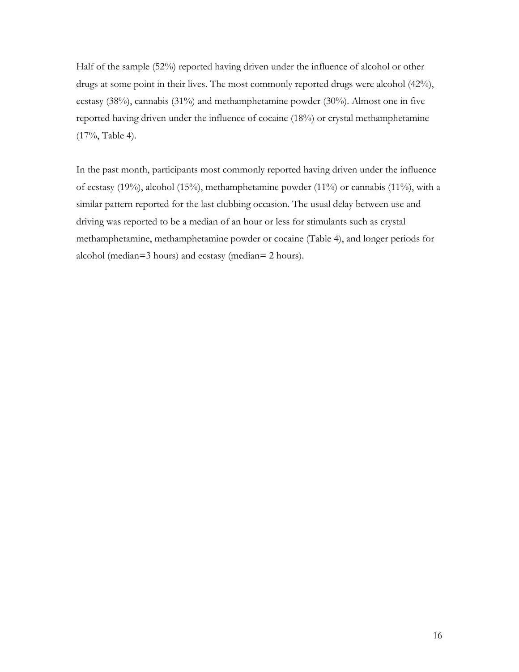Half of the sample (52%) reported having driven under the influence of alcohol or other drugs at some point in their lives. The most commonly reported drugs were alcohol (42%), ecstasy (38%), cannabis (31%) and methamphetamine powder (30%). Almost one in five reported having driven under the influence of cocaine (18%) or crystal methamphetamine (17%, Table 4).

In the past month, participants most commonly reported having driven under the influence of ecstasy (19%), alcohol (15%), methamphetamine powder (11%) or cannabis (11%), with a similar pattern reported for the last clubbing occasion. The usual delay between use and driving was reported to be a median of an hour or less for stimulants such as crystal methamphetamine, methamphetamine powder or cocaine (Table 4), and longer periods for alcohol (median=3 hours) and ecstasy (median= 2 hours).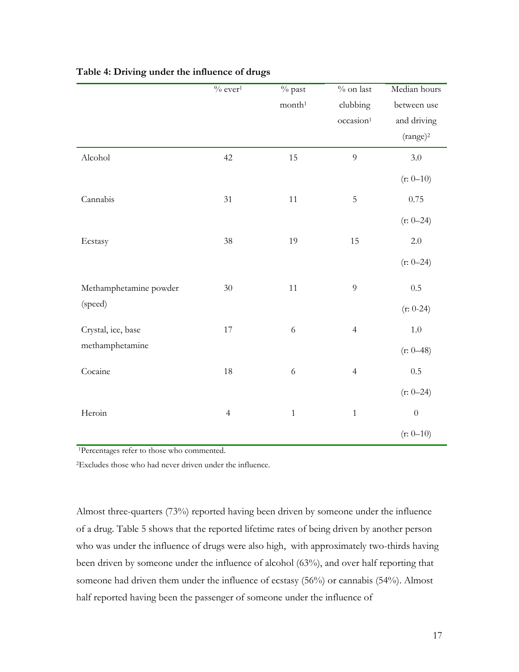|                        | $\%$ ever <sup>1</sup> | $\overline{\frac{0}{2}}$ past | $\%$ on last          | Median hours     |
|------------------------|------------------------|-------------------------------|-----------------------|------------------|
|                        |                        | month <sup>1</sup>            | clubbing              | between use      |
|                        |                        |                               | occasion <sup>1</sup> | and driving      |
|                        |                        |                               |                       | $(range)^2$      |
| Alcohol                | 42                     | 15                            | $\overline{9}$        | 3.0              |
|                        |                        |                               |                       | $(r: 0-10)$      |
| Cannabis               | 31                     | $11\,$                        | $\mathbf 5$           | $0.75\,$         |
|                        |                        |                               |                       | $(r: 0-24)$      |
| Ecstasy                | $38\,$                 | 19                            | 15                    | $2.0\,$          |
|                        |                        |                               |                       | $(r: 0-24)$      |
| Methamphetamine powder | $30\,$                 | $11\,$                        | $\overline{9}$        | 0.5              |
| (speed)                |                        |                               |                       | $(r: 0-24)$      |
| Crystal, ice, base     | $17\,$                 | $\sqrt{6}$                    | $\overline{4}$        | $1.0\,$          |
| methamphetamine        |                        |                               |                       | $(r: 0-48)$      |
| Cocaine                | 18                     | $\sqrt{6}$                    | $\overline{4}$        | $0.5\,$          |
|                        |                        |                               |                       | $(r: 0-24)$      |
| Heroin                 | $\overline{4}$         | $\,1\,$                       | $1\,$                 | $\boldsymbol{0}$ |
|                        |                        |                               |                       | $(r: 0-10)$      |

#### <span id="page-30-0"></span>**Table 4: Driving under the influence of drugs**

<sup>1</sup>Percentages refer to those who commented.

2Excludes those who had never driven under the influence.

Almost three-quarters (73%) reported having been driven by someone under the influence of a drug. Table 5 shows that the reported lifetime rates of being driven by another person who was under the influence of drugs were also high, with approximately two-thirds having been driven by someone under the influence of alcohol (63%), and over half reporting that someone had driven them under the influence of ecstasy (56%) or cannabis (54%). Almost half reported having been the passenger of someone under the influence of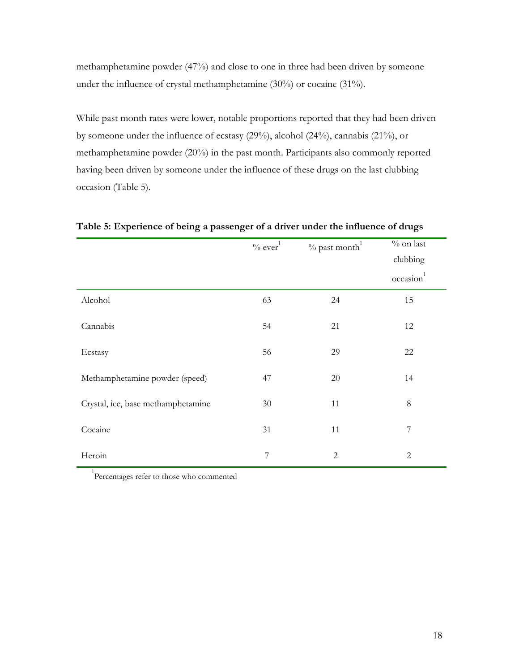<span id="page-31-0"></span>methamphetamine powder (47%) and close to one in three had been driven by someone under the influence of crystal methamphetamine (30%) or cocaine (31%).

While past month rates were lower, notable proportions reported that they had been driven by someone under the influence of ecstasy (29%), alcohol (24%), cannabis (21%), or methamphetamine powder (20%) in the past month. Participants also commonly reported having been driven by someone under the influence of these drugs on the last clubbing occasion (Table 5).

|                                    | $%$ past month <sup>1</sup><br>$\%$ ever <sup>1</sup> |              | $\%$ on last          |
|------------------------------------|-------------------------------------------------------|--------------|-----------------------|
|                                    |                                                       |              | clubbing              |
|                                    |                                                       |              | occasion <sup>1</sup> |
| Alcohol                            | 63                                                    | 24           | 15                    |
| Cannabis                           | 54                                                    | 21           | 12                    |
| Ecstasy                            | 56                                                    | 29           | 22                    |
| Methamphetamine powder (speed)     | 47                                                    | 20           | 14                    |
| Crystal, ice, base methamphetamine | 30                                                    | 11           | $8\,$                 |
| Cocaine                            | 31                                                    | 11           | $\overline{7}$        |
| Heroin                             | 7                                                     | $\mathbf{2}$ | $\overline{c}$        |

**Table 5: Experience of being a passenger of a driver under the influence of drugs** 

<sup>1</sup>Percentages refer to those who commented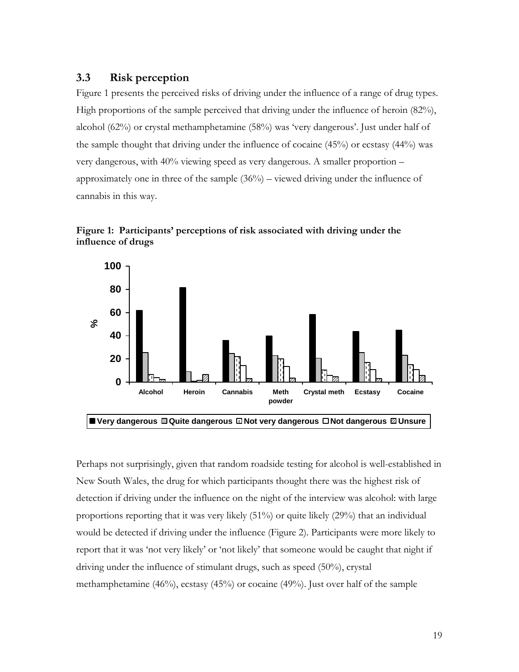#### <span id="page-32-0"></span>**3.3 Risk perception**

Figure 1 presents the perceived risks of driving under the influence of a range of drug types. High proportions of the sample perceived that driving under the influence of heroin (82%), alcohol (62%) or crystal methamphetamine (58%) was 'very dangerous'. Just under half of the sample thought that driving under the influence of cocaine (45%) or ecstasy (44%) was very dangerous, with 40% viewing speed as very dangerous. A smaller proportion – approximately one in three of the sample (36%) – viewed driving under the influence of cannabis in this way.





Perhaps not surprisingly, given that random roadside testing for alcohol is well-established in New South Wales, the drug for which participants thought there was the highest risk of detection if driving under the influence on the night of the interview was alcohol: with large proportions reporting that it was very likely (51%) or quite likely (29%) that an individual would be detected if driving under the influence (Figure 2). Participants were more likely to report that it was 'not very likely' or 'not likely' that someone would be caught that night if driving under the influence of stimulant drugs, such as speed (50%), crystal methamphetamine (46%), ecstasy (45%) or cocaine (49%). Just over half of the sample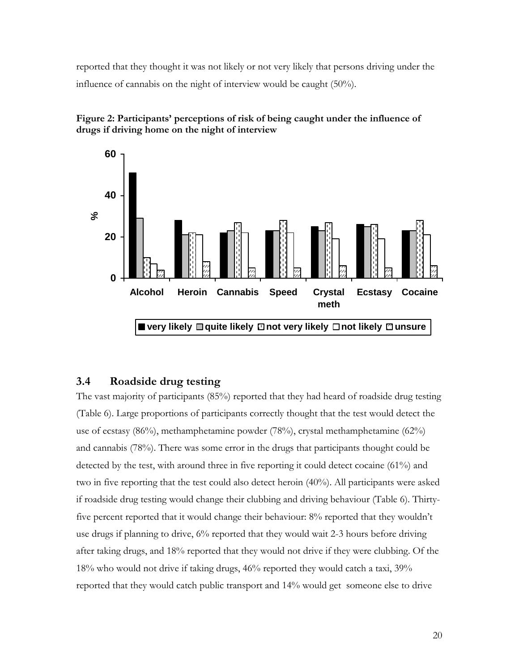<span id="page-33-0"></span>reported that they thought it was not likely or not very likely that persons driving under the influence of cannabis on the night of interview would be caught (50%).





### **3.4 Roadside drug testing**

The vast majority of participants (85%) reported that they had heard of roadside drug testing (Table 6). Large proportions of participants correctly thought that the test would detect the use of ecstasy (86%), methamphetamine powder (78%), crystal methamphetamine (62%) and cannabis (78%). There was some error in the drugs that participants thought could be detected by the test, with around three in five reporting it could detect cocaine (61%) and two in five reporting that the test could also detect heroin (40%). All participants were asked if roadside drug testing would change their clubbing and driving behaviour (Table 6). Thirtyfive percent reported that it would change their behaviour: 8% reported that they wouldn't use drugs if planning to drive, 6% reported that they would wait 2-3 hours before driving after taking drugs, and 18% reported that they would not drive if they were clubbing. Of the 18% who would not drive if taking drugs, 46% reported they would catch a taxi, 39% reported that they would catch public transport and 14% would get someone else to drive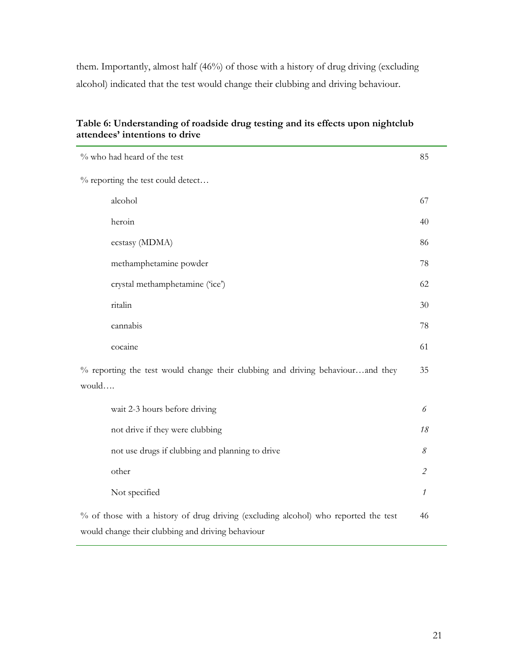<span id="page-34-0"></span>them. Importantly, almost half (46%) of those with a history of drug driving (excluding alcohol) indicated that the test would change their clubbing and driving behaviour.

#### **Table 6: Understanding of roadside drug testing and its effects upon nightclub attendees' intentions to drive**

L.

| % who had heard of the test                                                                                                              |                             |
|------------------------------------------------------------------------------------------------------------------------------------------|-----------------------------|
| % reporting the test could detect                                                                                                        |                             |
| alcohol                                                                                                                                  | 67                          |
| heroin                                                                                                                                   | 40                          |
| ecstasy (MDMA)                                                                                                                           | 86                          |
| methamphetamine powder                                                                                                                   | 78                          |
| crystal methamphetamine ('ice')                                                                                                          | 62                          |
| ritalin                                                                                                                                  | 30                          |
| cannabis                                                                                                                                 | 78                          |
| cocaine                                                                                                                                  | 61                          |
| % reporting the test would change their clubbing and driving behaviourand they<br>would                                                  |                             |
| wait 2-3 hours before driving                                                                                                            | 6                           |
| not drive if they were clubbing                                                                                                          | 18                          |
| not use drugs if clubbing and planning to drive                                                                                          | $\mathcal S$                |
| other                                                                                                                                    | $\mathcal{L}_{\mathcal{L}}$ |
| Not specified                                                                                                                            | 1                           |
| % of those with a history of drug driving (excluding alcohol) who reported the test<br>would change their clubbing and driving behaviour | 46                          |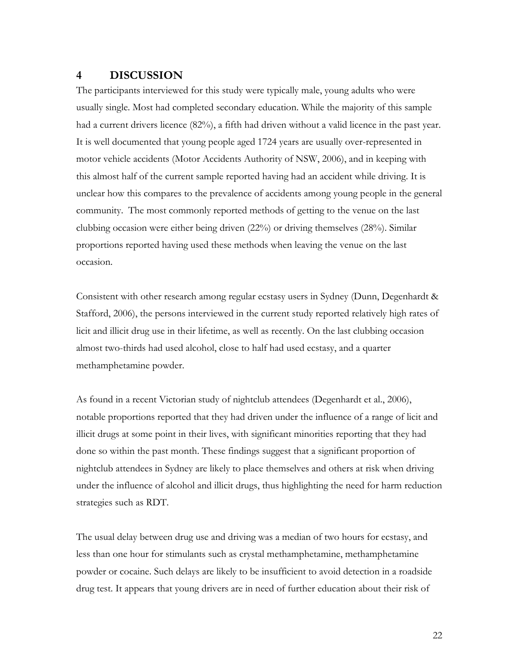#### <span id="page-35-0"></span>**4 DISCUSSION**

The participants interviewed for this study were typically male, young adults who were usually single. Most had completed secondary education. While the majority of this sample had a current drivers licence (82%), a fifth had driven without a valid licence in the past year. It is well documented that young people aged 1724 years are usually over-represented in motor vehicle accidents (Motor Accidents Authority of NSW, 2006), and in keeping with this almost half of the current sample reported having had an accident while driving. It is unclear how this compares to the prevalence of accidents among young people in the general community. The most commonly reported methods of getting to the venue on the last clubbing occasion were either being driven (22%) or driving themselves (28%). Similar proportions reported having used these methods when leaving the venue on the last occasion.

Consistent with other research among regular ecstasy users in Sydney (Dunn, Degenhardt & Stafford, 2006), the persons interviewed in the current study reported relatively high rates of licit and illicit drug use in their lifetime, as well as recently. On the last clubbing occasion almost two-thirds had used alcohol, close to half had used ecstasy, and a quarter methamphetamine powder.

As found in a recent Victorian study of nightclub attendees (Degenhardt et al., 2006), notable proportions reported that they had driven under the influence of a range of licit and illicit drugs at some point in their lives, with significant minorities reporting that they had done so within the past month. These findings suggest that a significant proportion of nightclub attendees in Sydney are likely to place themselves and others at risk when driving under the influence of alcohol and illicit drugs, thus highlighting the need for harm reduction strategies such as RDT.

The usual delay between drug use and driving was a median of two hours for ecstasy, and less than one hour for stimulants such as crystal methamphetamine, methamphetamine powder or cocaine. Such delays are likely to be insufficient to avoid detection in a roadside drug test. It appears that young drivers are in need of further education about their risk of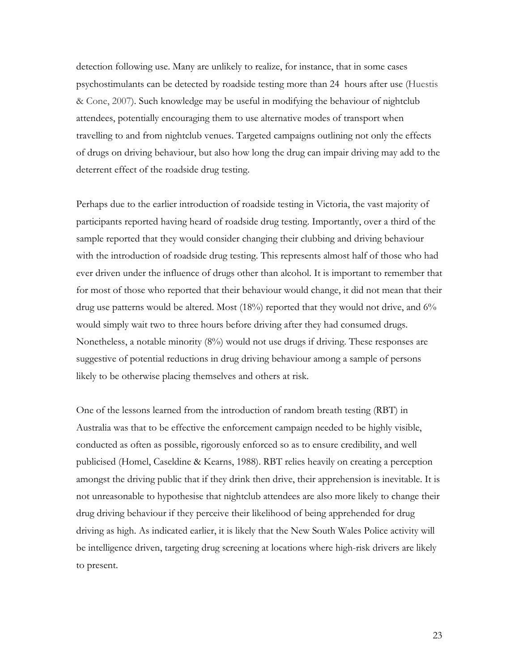detection following use. Many are unlikely to realize, for instance, that in some cases psychostimulants can be detected by roadside testing more than 24 hours after use (Huestis & Cone, 2007). Such knowledge may be useful in modifying the behaviour of nightclub attendees, potentially encouraging them to use alternative modes of transport when travelling to and from nightclub venues. Targeted campaigns outlining not only the effects of drugs on driving behaviour, but also how long the drug can impair driving may add to the deterrent effect of the roadside drug testing.

Perhaps due to the earlier introduction of roadside testing in Victoria, the vast majority of participants reported having heard of roadside drug testing. Importantly, over a third of the sample reported that they would consider changing their clubbing and driving behaviour with the introduction of roadside drug testing. This represents almost half of those who had ever driven under the influence of drugs other than alcohol. It is important to remember that for most of those who reported that their behaviour would change, it did not mean that their drug use patterns would be altered. Most (18%) reported that they would not drive, and 6% would simply wait two to three hours before driving after they had consumed drugs. Nonetheless, a notable minority (8%) would not use drugs if driving. These responses are suggestive of potential reductions in drug driving behaviour among a sample of persons likely to be otherwise placing themselves and others at risk.

One of the lessons learned from the introduction of random breath testing (RBT) in Australia was that to be effective the enforcement campaign needed to be highly visible, conducted as often as possible, rigorously enforced so as to ensure credibility, and well publicised (Homel, Caseldine & Kearns, 1988). RBT relies heavily on creating a perception amongst the driving public that if they drink then drive, their apprehension is inevitable. It is not unreasonable to hypothesise that nightclub attendees are also more likely to change their drug driving behaviour if they perceive their likelihood of being apprehended for drug driving as high. As indicated earlier, it is likely that the New South Wales Police activity will be intelligence driven, targeting drug screening at locations where high-risk drivers are likely to present.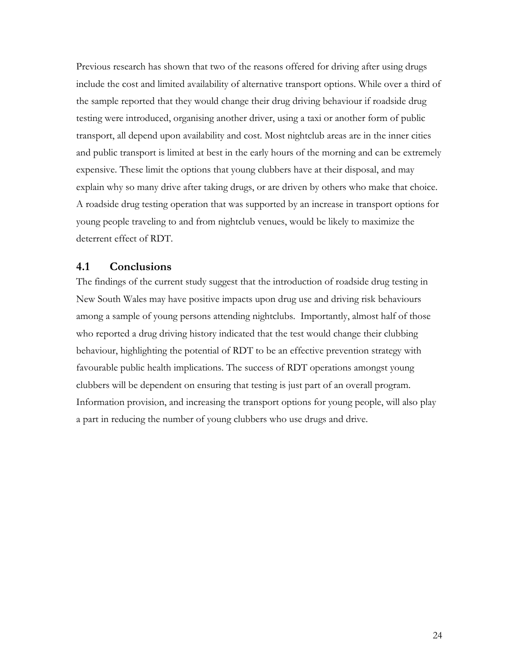<span id="page-37-0"></span>Previous research has shown that two of the reasons offered for driving after using drugs include the cost and limited availability of alternative transport options. While over a third of the sample reported that they would change their drug driving behaviour if roadside drug testing were introduced, organising another driver, using a taxi or another form of public transport, all depend upon availability and cost. Most nightclub areas are in the inner cities and public transport is limited at best in the early hours of the morning and can be extremely expensive. These limit the options that young clubbers have at their disposal, and may explain why so many drive after taking drugs, or are driven by others who make that choice. A roadside drug testing operation that was supported by an increase in transport options for young people traveling to and from nightclub venues, would be likely to maximize the deterrent effect of RDT.

#### **4.1 Conclusions**

The findings of the current study suggest that the introduction of roadside drug testing in New South Wales may have positive impacts upon drug use and driving risk behaviours among a sample of young persons attending nightclubs. Importantly, almost half of those who reported a drug driving history indicated that the test would change their clubbing behaviour, highlighting the potential of RDT to be an effective prevention strategy with favourable public health implications. The success of RDT operations amongst young clubbers will be dependent on ensuring that testing is just part of an overall program. Information provision, and increasing the transport options for young people, will also play a part in reducing the number of young clubbers who use drugs and drive.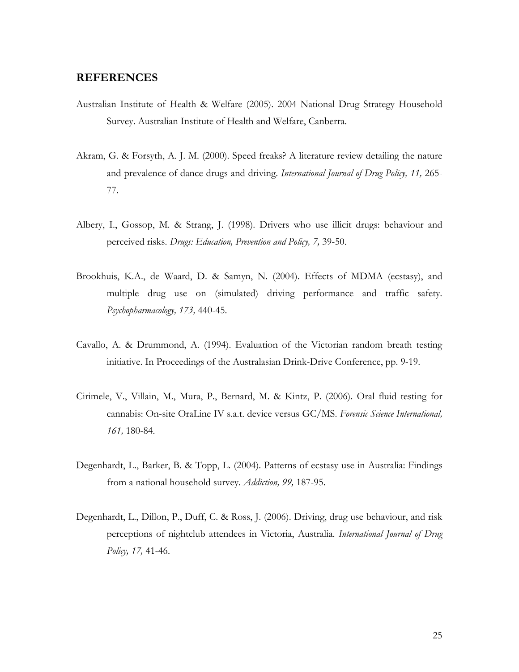#### <span id="page-38-0"></span>**REFERENCES**

- Australian Institute of Health & Welfare (2005). 2004 National Drug Strategy Household Survey. Australian Institute of Health and Welfare, Canberra.
- Akram, G. & Forsyth, A. J. M. (2000). Speed freaks? A literature review detailing the nature and prevalence of dance drugs and driving. *International Journal of Drug Policy, 11,* 265- 77.
- Albery, I., Gossop, M. & Strang, J. (1998). Drivers who use illicit drugs: behaviour and perceived risks. *Drugs: Education, Prevention and Policy, 7,* 39-50.
- Brookhuis, K.A., de Waard, D. & Samyn, N. (2004). Effects of MDMA (ecstasy), and multiple drug use on (simulated) driving performance and traffic safety. *Psychopharmacology, 173,* 440-45.
- Cavallo, A. & Drummond, A. (1994). Evaluation of the Victorian random breath testing initiative. In Proceedings of the Australasian Drink-Drive Conference, pp. 9-19.
- Cirimele, V., Villain, M., Mura, P., Bernard, M. & Kintz, P. (2006). Oral fluid testing for cannabis: On-site OraLine IV s.a.t. device versus GC/MS. *Forensic Science International, 161,* 180-84.
- Degenhardt, L., Barker, B. & Topp, L. (2004). Patterns of ecstasy use in Australia: Findings from a national household survey. *Addiction, 99,* 187-95.
- Degenhardt, L., Dillon, P., Duff, C. & Ross, J. (2006). Driving, drug use behaviour, and risk perceptions of nightclub attendees in Victoria, Australia. *International Journal of Drug Policy, 17,* 41-46.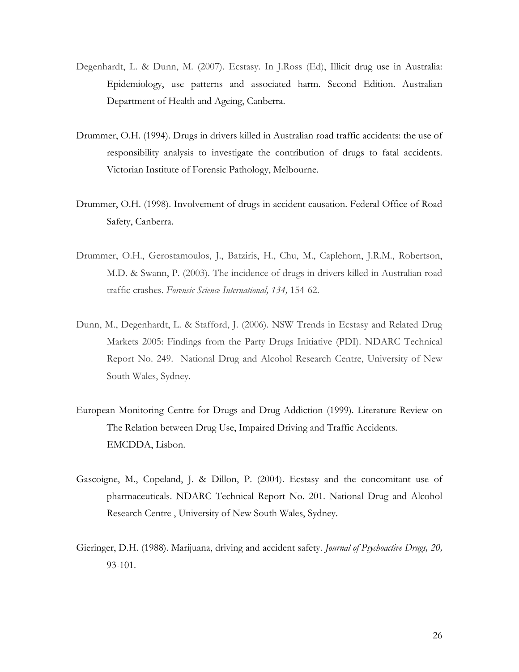- Degenhardt, L. & Dunn, M. (2007). Ecstasy. In J.Ross (Ed), Illicit drug use in Australia: Epidemiology, use patterns and associated harm. Second Edition. Australian Department of Health and Ageing, Canberra.
- Drummer, O.H. (1994). Drugs in drivers killed in Australian road traffic accidents: the use of responsibility analysis to investigate the contribution of drugs to fatal accidents. Victorian Institute of Forensic Pathology, Melbourne.
- Drummer, O.H. (1998). Involvement of drugs in accident causation. Federal Office of Road Safety, Canberra.
- Drummer, O.H., Gerostamoulos, J., Batziris, H., Chu, M., Caplehorn, J.R.M., Robertson, M.D. & Swann, P. (2003). The incidence of drugs in drivers killed in Australian road traffic crashes. *Forensic Science International, 134,* 154-62.
- Dunn, M., Degenhardt, L. & Stafford, J. (2006). NSW Trends in Ecstasy and Related Drug Markets 2005: Findings from the Party Drugs Initiative (PDI). NDARC Technical Report No. 249. National Drug and Alcohol Research Centre, University of New South Wales, Sydney.
- European Monitoring Centre for Drugs and Drug Addiction (1999). Literature Review on The Relation between Drug Use, Impaired Driving and Traffic Accidents. EMCDDA, Lisbon.
- Gascoigne, M., Copeland, J. & Dillon, P. (2004). Ecstasy and the concomitant use of pharmaceuticals. NDARC Technical Report No. 201. National Drug and Alcohol Research Centre , University of New South Wales, Sydney.
- Gieringer, D.H. (1988). Marijuana, driving and accident safety. *Journal of Psychoactive Drugs, 20,*  93-101.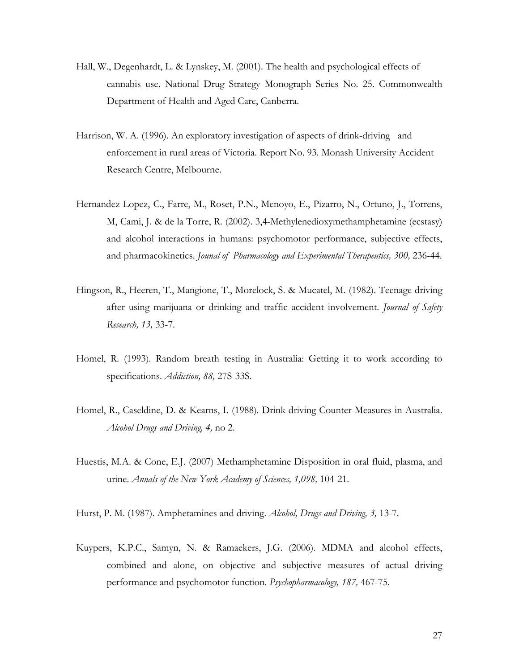- Hall, W., Degenhardt, L. & Lynskey, M. (2001). The health and psychological effects of cannabis use. National Drug Strategy Monograph Series No. 25. Commonwealth Department of Health and Aged Care, Canberra.
- Harrison, W. A. (1996). An exploratory investigation of aspects of drink-driving and enforcement in rural areas of Victoria. Report No. 93. Monash University Accident Research Centre, Melbourne.
- Hernandez-Lopez, C., Farre, M., Roset, P.N., Menoyo, E., Pizarro, N., Ortuno, J., Torrens, M, Cami, J. & de la Torre, R. (2002). 3,4-Methylenedioxymethamphetamine (ecstasy) and alcohol interactions in humans: psychomotor performance, subjective effects, and pharmacokinetics. *Jounal of Pharmacology and Experimental Therapeutics, 300, 236-44*.
- Hingson, R., Heeren, T., Mangione, T., Morelock, S. & Mucatel, M. (1982). Teenage driving after using marijuana or drinking and traffic accident involvement. *Journal of Safety Research, 13,* 33-7.
- Homel, R. (1993). Random breath testing in Australia: Getting it to work according to specifications. *Addiction, 88,* 27S-33S.
- Homel, R., Caseldine, D. & Kearns, I. (1988). Drink driving Counter-Measures in Australia. *Alcohol Drugs and Driving, 4,* no 2.
- Huestis, M.A. & Cone, E.J. (2007) Methamphetamine Disposition in oral fluid, plasma, and urine. *Annals of the New York Academy of Sciences, 1,098,* 104-21.
- Hurst, P. M. (1987). Amphetamines and driving. *Alcohol, Drugs and Driving, 3,* 13-7.
- Kuypers, K.P.C., Samyn, N. & Ramaekers, J.G. (2006). MDMA and alcohol effects, combined and alone, on objective and subjective measures of actual driving performance and psychomotor function. *Psychopharmacology, 187,* 467-75.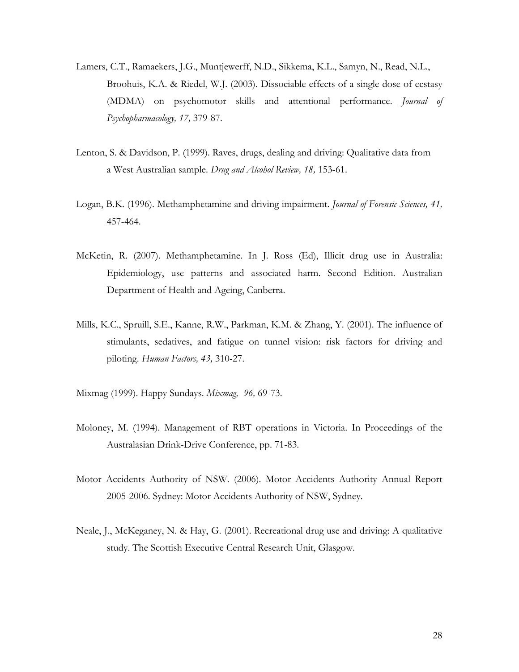- Lamers, C.T., Ramaekers, J.G., Muntjewerff, N.D., Sikkema, K.L., Samyn, N., Read, N.L., Broohuis, K.A. & Riedel, W.J. (2003). Dissociable effects of a single dose of ecstasy (MDMA) on psychomotor skills and attentional performance. *Journal of Psychopharmacology, 17,* 379-87.
- Lenton, S. & Davidson, P. (1999). Raves, drugs, dealing and driving: Qualitative data from a West Australian sample. *Drug and Alcohol Review, 18,* 153-61.
- Logan, B.K. (1996). Methamphetamine and driving impairment. *Journal of Forensic Sciences, 41,*  457-464.
- McKetin, R. (2007). Methamphetamine. In J. Ross (Ed), Illicit drug use in Australia: Epidemiology, use patterns and associated harm. Second Edition. Australian Department of Health and Ageing, Canberra.
- Mills, K.C., Spruill, S.E., Kanne, R.W., Parkman, K.M. & Zhang, Y. (2001). The influence of stimulants, sedatives, and fatigue on tunnel vision: risk factors for driving and piloting. *Human Factors, 43,* 310-27.
- Mixmag (1999). Happy Sundays. *Mixmag, 96,* 69-73.
- Moloney, M. (1994). Management of RBT operations in Victoria. In Proceedings of the Australasian Drink-Drive Conference, pp. 71-83.
- Motor Accidents Authority of NSW. (2006). Motor Accidents Authority Annual Report 2005-2006. Sydney: Motor Accidents Authority of NSW, Sydney.
- Neale, J., McKeganey, N. & Hay, G. (2001). Recreational drug use and driving: A qualitative study. The Scottish Executive Central Research Unit, Glasgow.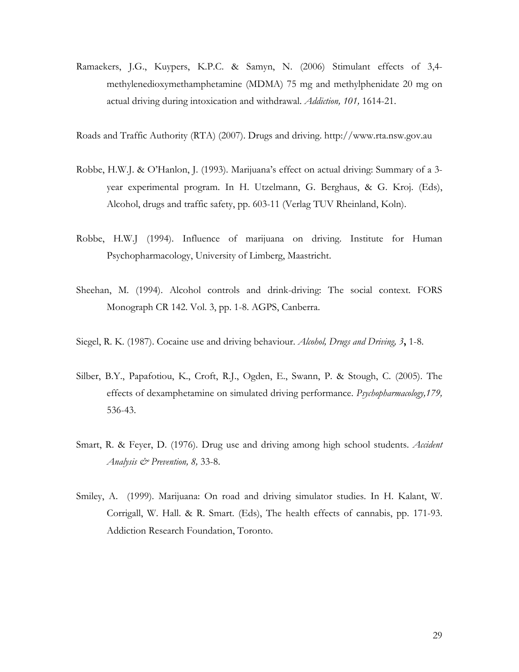Ramaekers, J.G., Kuypers, K.P.C. & Samyn, N. (2006) Stimulant effects of 3,4 methylenedioxymethamphetamine (MDMA) 75 mg and methylphenidate 20 mg on actual driving during intoxication and withdrawal. *Addiction, 101,* 1614-21.

Roads and Traffic Authority (RTA) (2007). Drugs and driving. http://www.rta.nsw.gov.au

- Robbe, H.W.J. & O'Hanlon, J. (1993). Marijuana's effect on actual driving: Summary of a 3 year experimental program. In H. Utzelmann, G. Berghaus, & G. Kroj. (Eds), Alcohol, drugs and traffic safety, pp. 603-11 (Verlag TUV Rheinland, Koln).
- Robbe, H.W.J (1994). Influence of marijuana on driving. Institute for Human Psychopharmacology, University of Limberg, Maastricht.
- Sheehan, M. (1994). Alcohol controls and drink-driving: The social context. FORS Monograph CR 142. Vol. 3, pp. 1-8. AGPS, Canberra.
- Siegel, R. K. (1987). Cocaine use and driving behaviour. *Alcohol, Drugs and Driving, 3***,** 1-8.
- Silber, B.Y., Papafotiou, K., Croft, R.J., Ogden, E., Swann, P. & Stough, C. (2005). The effects of dexamphetamine on simulated driving performance. *Psychopharmacology,179,*  536-43.
- Smart, R. & Feyer, D. (1976). Drug use and driving among high school students. *Accident Analysis & Prevention, 8,* 33-8.
- Smiley, A. (1999). Marijuana: On road and driving simulator studies. In H. Kalant, W. Corrigall, W. Hall. & R. Smart. (Eds), The health effects of cannabis, pp. 171-93. Addiction Research Foundation, Toronto.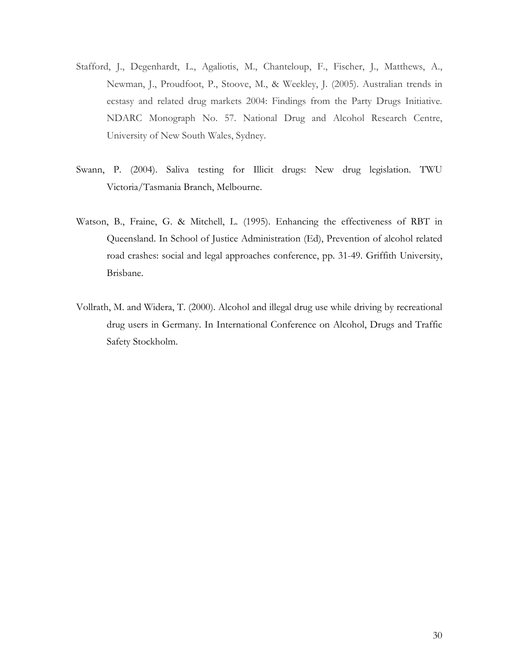- Stafford, J., Degenhardt, L., Agaliotis, M., Chanteloup, F., Fischer, J., Matthews, A., Newman, J., Proudfoot, P., Stoove, M., & Weekley, J. (2005). Australian trends in ecstasy and related drug markets 2004: Findings from the Party Drugs Initiative*.* NDARC Monograph No. 57. National Drug and Alcohol Research Centre, University of New South Wales, Sydney.
- Swann, P. (2004). Saliva testing for Illicit drugs: New drug legislation. TWU Victoria/Tasmania Branch, Melbourne.
- Watson, B., Fraine, G. & Mitchell, L. (1995). Enhancing the effectiveness of RBT in Queensland. In School of Justice Administration (Ed), Prevention of alcohol related road crashes: social and legal approaches conference, pp. 31-49. Griffith University, Brisbane.
- Vollrath, M. and Widera, T. (2000). Alcohol and illegal drug use while driving by recreational drug users in Germany. In International Conference on Alcohol, Drugs and Traffic Safety Stockholm.